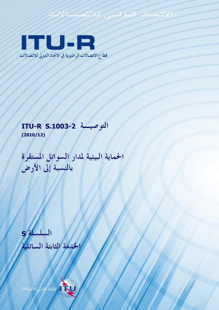# **ITU SP**

قطاع الاتصالات الراديوية في الاتحاد الدولي للاتصالات

الاتحاد للدولة

# التوصية ITU-R S.1003-2  $(2010/12)$

الحماية البيئية لمدار السواتل المستقرة بالنسبة إلى الأرض

S jumlul 1 لخدمة الثابتة الساتلية

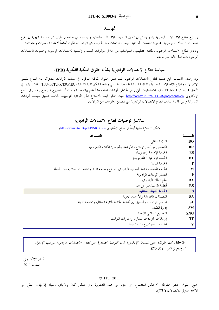### تمهيسد

يضطلع قطاع الاتصالات الراديوية بدور يتمثل في تأمين الترشيد والإنصاف والفعالية والاقتصاد في استعمال طيف الترددات الراديوية في جميع خدمات الاتصالات الراديوية، بما فيها الخدمات الساتلية، وإجراء دراسات دون تحديد لمدى الترددات، تكون أساساً لإعداد التوصيات واعتمادها.

ويؤدي قطاع الاتصالات الراديوية وظائفه التنظيمية والسياساتية من حلال المؤتمرات العالمية والإقليمية للاتصالات الراديوية وجمعيات الاتصالات الراديوية بمساعدة لجان الدراسات.

# سياسة قطاع الاتصالات الراديوية بشأن حقوق الملكية الفكرية (IPR)

يرد وصف للسياسة التي يتبعها قطاع الاتصالات الراديوية فيما يتعلق بحقوق الملكية الفكرية في سياسة البراءات المشتركة بين قطاع تقييس الاتصالات وقطاع الاتصالات الراديوية والمنظمة الدولية للتوحيد القياسي واللحنة الكهرتقنية الدولية (ITU-T/ITU-R/ISO/IEC) والمشار إليها في الملحق 1 بالقرار ITU-R 1. وترد الاستمارات التي ينبغي لحاملي البراءات استعمالها لتقديم بيان عن البراءات أو للتصريح عن منح رخص في الموقع الإلكتروني <u>http://www.itu.int/ITU-R/go</u>/patents/en حيث يمكن أيضاً الاطلاع على المبادئ التوجيهية الخاصة بتطبيق سياسة البراءات المشتركة وعلى قاعدة بيانات قطاع الاتصالات الراديوية التي تتضمن معلومات عن البراءات.

| سلاسل توصيات قطاع الاتصالات الراديوية                                                  |             |
|----------------------------------------------------------------------------------------|-------------|
| (يمكن الاطلاع عليها أيضاً في الموقع الإلكتروني <u>http://www.itu.int/publ/R-REC/en</u> |             |
| العنسوان                                                                               | السلسلة     |
| البث الساتلي                                                                           | <b>BO</b>   |
| التسحيل من أحل الإنتاج والأرشفة والعرض؛ الأفلام التلفزيونية                            | <b>BR</b>   |
| الخدمة الإذاعية (الصوتية)                                                              | <b>BS</b>   |
| الخدمة الإذاعية (التلفزيونية)                                                          | BT          |
| الخدمة الثابتة                                                                         | $\mathbf F$ |
| الخدمة المتنقلة وخدمة التحديد الراديوي للموقع وخدمة الهواة والخدمات الساتلية ذات الصلة | M           |
| انتشار الموجات الراديوية                                                               | $\mathbf P$ |
| علم الفلك الراديوي                                                                     | RA          |
| أنظمة الاستشعار عن بعد                                                                 | <b>RS</b>   |
| الخدمة الثابتة الساتلية                                                                | $\mathbf S$ |
| التطبيقات الفضائية والأرصاد الجوية                                                     | <b>SA</b>   |
| تقاسم الترددات والتنسيق بين أنظمة الخدمة الثابتة الساتلية والخدمة الثابتة              | <b>SF</b>   |
| إدارة الطيف                                                                            | <b>SM</b>   |
| التجميع الساتلي للأخبار                                                                | <b>SNG</b>  |
| إرسالات الترددات المعيارية وإشارات التوقيت                                             | TF          |
| المفردات والمواضيع ذات الصلة                                                           | V           |

**ملاحظة**: تمت الموافقة على النسخة الإنكليزية لهذه التوصية الصادرة عن قطاع الاتصالات الراديوية بموجب الإجراء الموضح في القرار ITU-R 1.

النشير الإلكترويي جنيف، 2011

#### © ITU 2011

جميع حقوق النشر محفوظة. لا يمكن استنساخ أي جزء من هذه المنشورة بأي شكل كان ولا بأي وسيلة إلا بإذن خطى من الاتحاد الدولي للاتصالات (ITU).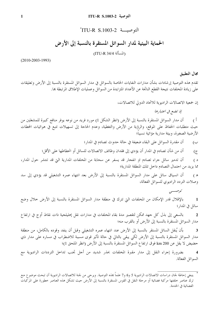# التوصية ITU-R S.1003-2

الحماية البيئية لمدار السواتل المستقرة بالنسبة إلى الأرض (المسألة 34/4 ITU-R)

 $(2010 - 2003 - 1993)$ 

مجال التطبيق

تقدم هذه التوصية إرشادات بشأن مدارات النفايات الخاصة بالسواتل في مدار السواتل المستقرة بالنسبة إلى الأرض وتعليقات على زيادة المخلفات نتيجة القطع الناتجة عن الأعداد المتزايدة من السواتل وعمليات الإطلاق المرتبطة ها.

إن جمعية الاتصالات الراديوية للاتحاد الدولي للاتصالات،

إذ تضع في اعتبارها

أن مدار السواتل المستقرة بالنسبة إلى الأرض (انظر الشكل 1) مورد فريد من نوعه يوفر منافع كبيرة للمشغلين من  $\zeta$ حيث متطلبات الحفاظ على الموقع، والرؤية من الأرض والتغطية، وعدم الحاجة إلى تسهيلات تتبع في هوائيات المحطات الأرضية الصغيرة، وبيئة مدارية مؤاتية نسبيا؛

> أن مقدرة السواتل على البقاء ضعيفة في حالة حدوث تصادم في المدار؛ ب)

أن من شأن تصادم في المدار أن يؤدي إلى فقدان وظائف الاتصالات للساتل أو انحطاطها على الأقل؛  $\overline{(\overline{C})}$ 

أن تدمير ساتل جراء تصادم او انفجار قد يسفر عن سحابة من المخلفات المدارية التي قد تنتشر حول المدار،  $\epsilon$ مما يزيد من احتمال التصادم داخل تلك المنطقة المدارية؛

أن انسياق ساتل على مدار السواتل المستقرة بالنسبة إلى الأرض بعد انتهاء عمره التشغيلي قد يؤدي إلى سد  $( \Delta )$ وصلات التردد الراديوي للسواتل الفعالة،

توصسي

بالإقلال قدر الإمكان من المخلفات التي تترك في منطقة مدار السواتل المستقرة بالنسبة إلى الأرض خلال وضع  $\mathbf{1}$ ساتل في المدار؛

بالسعى إلى بذل كل جهد ممكن لتقصير مدة بقاء المخلفات في مدارات نقل إهليلجية ذات نقاط أوج في ارتفاع  $\overline{2}$ مدار السواتل المستقرة بالنسبة إلى الأرض أو بالقرب منه؛

بأن يُنقل الساتل المستقر بالنسبة إلى الأرض عند انتهاء عمره التشغيلي وقبل أن ينفد وقوده بالكامل، من منطقة  $\overline{\mathbf{3}}$ مدار السواتل المستقرة بالنسبة إلى الأرض لكي يبقى بالتالي في حالة تأثير قوى مسببة للاضطراب في مساره على مدار ذي حضيض لا يقل عن 200 km فوق ارتفاع السواتل المستقرة بالنسبة إلى الأرض (انظر الملحق 1)؛

بضرورة إجراء النقل إلى مدار مقبرة المخلفات بحذر شديد من أجل تجنب تداخل الترددات الراديوية مع  $\overline{\mathbf{4}}$ السواتل الفعالة.

ينبغي إحاطة لجان دراسات الاتصالات الراديوية 5 و6 و7 علماً بمذه التوصية. ويرجى من لجنة للاتصالات الراديوية أن تبحث موضوع منع ترك ٌ عناصر خلفتها مركبة فضائية أو مرحلة النقل في القوس المستقرة بالنسبة إلى الأرض حيث تشكل هذه العناصر خطورة على المركبات الفضائية في الخدمة.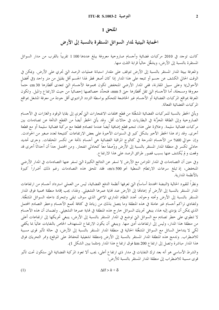## الملحق 1

الحماية البيئية لمدار السواتل المستقرة بالنسبة إلى الأرض

كانت توجد في 2010 مركبات فضائية وأجسام صاروخية معروفة يبلغ عددها 1100 تقريباً بالقرب من مدار السواتل المستقرة بالنسبة إلى الأرض، ويشغَّل حالياً قرابة الثلث منها.

والمعرفة ببيئة المدار المستقر بالنسبة إلى الأرض تتوقف على مقدار استبانة عمليات الرصد التي تحري على الأرض. ويمكن في الوقت الحالي الكشف عن جسم أو تتبعه على هذا المدار إذا كان أصغر قطر لهذا الجسم أقل بقليل من متر واحد (في أفضل الأحوال)؛ وعلى سبيل المقارنة، ففي المدار الأرضى المنخفض تكون مجموعة الأجسام التي تتعدى أقطارها 30 cm حتماً معروفة ومسحلة، أما الأجسام التي تقل أقطارها حتى mm 5، فتحدَّد خصائصها إحصائياً من حيث الارتفاع والميل. وتكون المعرفة بمواقع المركبات الفضائية أو الأجسام غير الخاضعة للتحكم بواسطة التردد الراديوي أقل جودة من معرفة المشغل بمواقع المركبات الفضائية الفعالة.

ويأتي الخطر بالنسبة للمركبات الفضائية المشغَّلة من قطع مخلفات الانفحارات التي تُعزى إلى بقايا الوقود والغازات في الأجسام الصاروخية وإلى الطاقة المخزَّنة في البطاريات في حالات أقل. وقد يأتي الخطر أيضاً من القطع الناتجة عن تصادمات بين مركبات فضائية سليمة. وعلاوة على هذا، تنحم قطع إضافية أيضاً عندما تتصادم قطعة مع مركبة فضائية سليمة أو مع قطعة أخرى. وقد زاد هذا الخطر الأخير بشكل كبير في السنوات الأخيرة على بعض الارتفاعات كنتيجة لعدد صغير من الحوادث. وإن حوالي 60% من الأجسام المدرجة في كتالوج المراقبة الفضائية هي أجسام ناتجة عن تكسر المخلفات. وجرى تحديد حادثي تكسر في منطقة المدار المستقر بالنسبة إلى الأرض ووُصفاً معاً كحادثي انفجار. ومن المحتمل جداً أن أحداثاً أخرى قد وقعت و لم يُكشف عنها بسبب قصور طرائق الرصد على هذا الارتفاع.

وفي حين أن التصادمات في المدار المتزامن مع الأرض لا تسفر عن النتائج الكبيرة التي تسفر عنها التصادمات في المدار الأرضى المنخفض، إذ تبلغ سرعات الارتطام النمطية نحو 500 m/s، فقد تلحق هذه التصادمات رغم ذلك أضراراً كبيرة بالأنظمة المدارية.

ونظراً للقيود الحالية (النبضة المحددة أساساً) التي تعرفها أنظمة الدفع الفضائية، ليس من العملي استرداد أجسام من ارتفاعات المدار المستقر بالنسبة إلى الأرض أو إعادقما إلى الأرض عند نماية عمرها التشغيلي. ولهذا، يجب إقامة منطقة محمية فوق المدار المستقر بالنسبة إلى الأرض وتحته وحوله، تحدد النظام المداري الاسمى الذي سوف تبقى وتتحرك داخله السواتل المشغَّلة. ولتفادي تراكم أجسام غير عاملة في هذه المنطقة وما يتصل بذلك من زيادة في كثافة تجمع الأجسام وخطر التصادم المحتمل الذي يمكن أن يؤدي إليه هذا، ينبغي تحريك السواتل خارج هذه المنطقة في نماية عمرها التشغيلي. ولضمان أن هذه الأجسام لا تنطوي على خطر تصادم مع السواتل التي توضع في المدار المستقر بالنسبة إلى الأرض، ينبغي تحريكها إلى ارتفاعات أعلى من منطقة هذا المدار، وليس إلى ارتفاعات أدنى منها. وينبغي أن يكون الارتفاع المستهدف الخاص بالنفايات عالياً بما يكفي لكي لا يتداخل الساتل مع السواتل المشغَّلة الحالية في منطقة المدار المستقر بالنسبة إلى الأرض، في حالة تأثير قوى مسببة للاضطراب. وتدمج هذه المنطقة المدار المستقر بالنسبة إلى الأرض (منطقة تشغيلية للحفاظ على الموقع) وممر التحريك فوق هذا المدار مباشرة وتصل إلى ارتفاع 200 km فوق ارتفاع هذا المدار (مثلما يبين الشكل 1).

والشرط الأساسي هو أنه بعد ترك النفايات في مدار ذي ارتفاع أعلى، يجب ألا تعود المركبة الفضائية التي ستكون تحت تأثير قوى مسببة للاضطراب إلى منطقة المدار المستقر بالنسبة للأرض:

$$
\Delta H > h + \delta
$$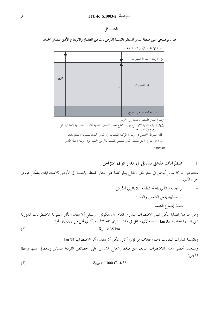الشكل 1

مثال توضيحي على منطقة المدار المستقر بالنسبة للأرض (المناطق المظللة) والارتفاع الأدبى للمدار الجديد



عتبة الارتفاع الأدبي للمدار الجديد

ارتفاع المدار المستقر بالنسبة إلى الأرض

.<br>H∆: الزيادة الدنيا للارتفاع فوق ارتفاع المدار المستقر بالنسبة للأرض للمركبة الفضائية التي توضع في مدار جديد .<br>8: الهبوط الأقصى في ارتفاع المركبة الفضائية في المدار الجديد بسبب الاضطرابات l : الارتفاع الأدنى لمنطقة المدار المستقر بالنسبة للأرض المحمية فوق ارتفاع هذا المدار  $S.1003-02$ 

#### اضطرابات تلحق بساتل في مدار فوق المتزامن  $\blacksquare$

بما يلي:

ستتعرض حركة ساتل يُدخل في مدار ذي ارتفاع يعلو تماماً على المدار المستقر بالنسبة إلى الأرض للاضطرابات بشكل دوري جراء تأثير :

$$
\delta_{SRP} < 1\ 000\ C_r\ A/M
$$

 $(2)$